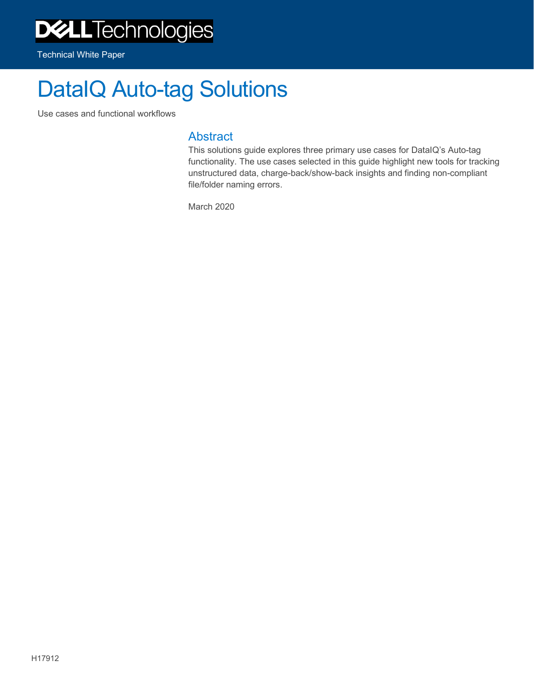# DataIQ Auto-tag Solutions

Use cases and functional workflows

#### **Abstract**

This solutions guide explores three primary use cases for DataIQ's Auto-tag functionality. The use cases selected in this guide highlight new tools for tracking unstructured data, charge-back/show-back insights and finding non-compliant file/folder naming errors.

March 2020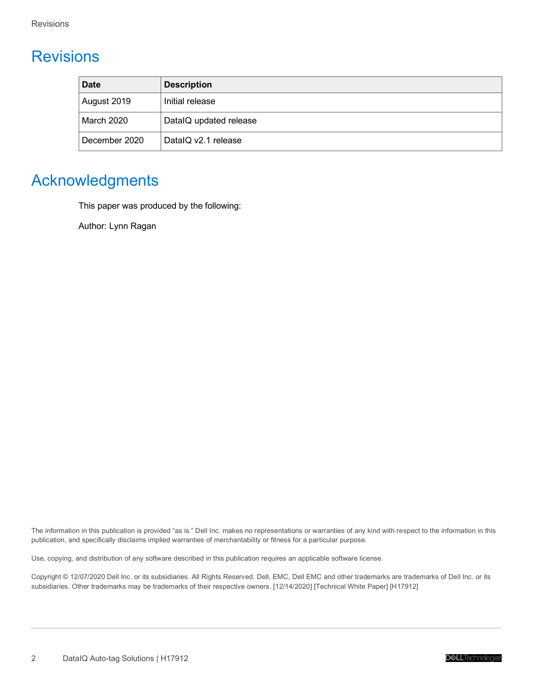# <span id="page-1-0"></span>Revisions

| <b>Date</b>   | <b>Description</b>     |
|---------------|------------------------|
| August 2019   | Initial release        |
| March 2020    | DataIQ updated release |
| December 2020 | DataIQ v2.1 release    |

# <span id="page-1-1"></span>Acknowledgments

This paper was produced by the following:

Author: Lynn Ragan

The information in this publication is provided "as is." Dell Inc. makes no representations or warranties of any kind with respect to the information in this publication, and specifically disclaims implied warranties of merchantability or fitness for a particular purpose.

Use, copying, and distribution of any software described in this publication requires an applicable software license.

Copyright © 12/07/2020 Dell Inc. or its subsidiaries. All Rights Reserved. Dell, EMC, Dell EMC and other trademarks are trademarks of Dell Inc. or its subsidiaries. Other trademarks may be trademarks of their respective owners. [12/14/2020] [Technical White Paper] [H17912]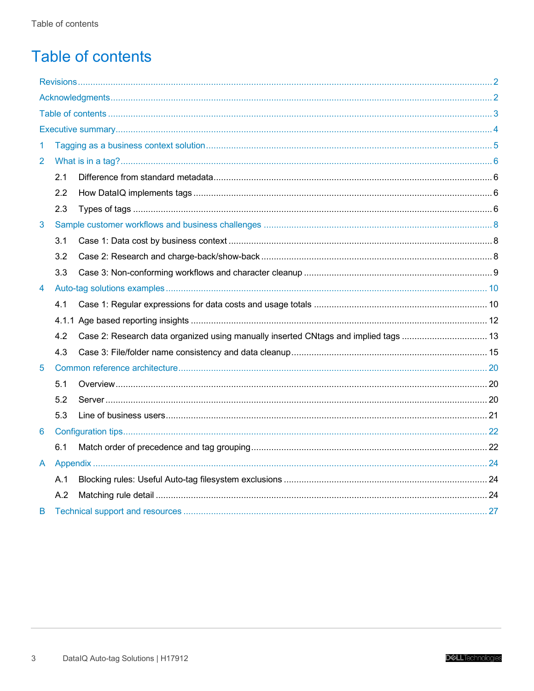# <span id="page-2-0"></span>**Table of contents**

| 1              |     |                                                                                     |  |
|----------------|-----|-------------------------------------------------------------------------------------|--|
| $\overline{2}$ |     |                                                                                     |  |
|                | 2.1 |                                                                                     |  |
|                | 2.2 |                                                                                     |  |
|                | 2.3 |                                                                                     |  |
| 3              |     |                                                                                     |  |
|                | 3.1 |                                                                                     |  |
|                | 3.2 |                                                                                     |  |
|                | 3.3 |                                                                                     |  |
| 4              |     |                                                                                     |  |
|                | 4.1 |                                                                                     |  |
|                |     |                                                                                     |  |
|                | 4.2 | Case 2: Research data organized using manually inserted CNtags and implied tags  13 |  |
|                | 4.3 |                                                                                     |  |
| 5              |     |                                                                                     |  |
|                | 5.1 |                                                                                     |  |
|                | 5.2 |                                                                                     |  |
|                | 5.3 |                                                                                     |  |
| 6              |     |                                                                                     |  |
|                | 6.1 |                                                                                     |  |
| A              |     |                                                                                     |  |
|                | A.1 |                                                                                     |  |
|                | A.2 |                                                                                     |  |
| В              |     |                                                                                     |  |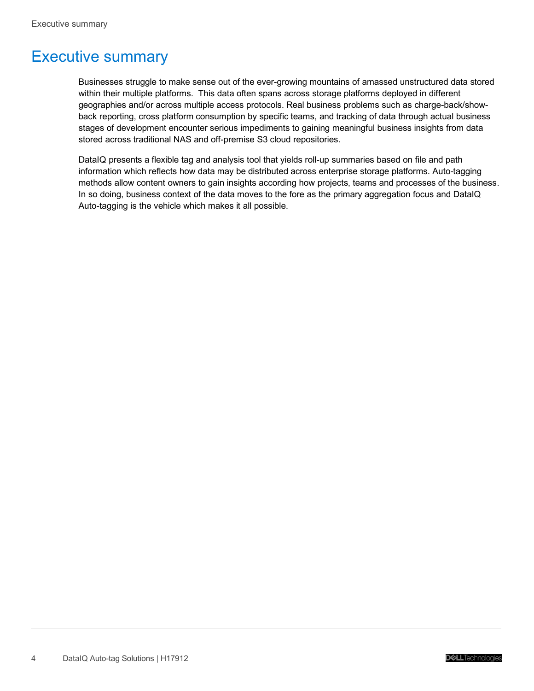# <span id="page-3-0"></span>Executive summary

Businesses struggle to make sense out of the ever-growing mountains of amassed unstructured data stored within their multiple platforms. This data often spans across storage platforms deployed in different geographies and/or across multiple access protocols. Real business problems such as charge-back/showback reporting, cross platform consumption by specific teams, and tracking of data through actual business stages of development encounter serious impediments to gaining meaningful business insights from data stored across traditional NAS and off-premise S3 cloud repositories.

DataIQ presents a flexible tag and analysis tool that yields roll-up summaries based on file and path information which reflects how data may be distributed across enterprise storage platforms. Auto-tagging methods allow content owners to gain insights according how projects, teams and processes of the business. In so doing, business context of the data moves to the fore as the primary aggregation focus and DataIQ Auto-tagging is the vehicle which makes it all possible.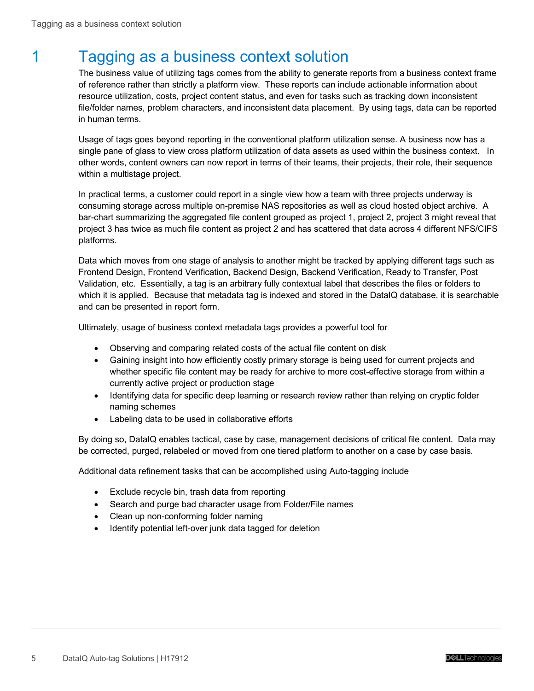# <span id="page-4-0"></span>1 Tagging as a business context solution

The business value of utilizing tags comes from the ability to generate reports from a business context frame of reference rather than strictly a platform view. These reports can include actionable information about resource utilization, costs, project content status, and even for tasks such as tracking down inconsistent file/folder names, problem characters, and inconsistent data placement. By using tags, data can be reported in human terms.

Usage of tags goes beyond reporting in the conventional platform utilization sense. A business now has a single pane of glass to view cross platform utilization of data assets as used within the business context. In other words, content owners can now report in terms of their teams, their projects, their role, their sequence within a multistage project.

In practical terms, a customer could report in a single view how a team with three projects underway is consuming storage across multiple on-premise NAS repositories as well as cloud hosted object archive. A bar-chart summarizing the aggregated file content grouped as project 1, project 2, project 3 might reveal that project 3 has twice as much file content as project 2 and has scattered that data across 4 different NFS/CIFS platforms.

Data which moves from one stage of analysis to another might be tracked by applying different tags such as Frontend Design, Frontend Verification, Backend Design, Backend Verification, Ready to Transfer, Post Validation, etc. Essentially, a tag is an arbitrary fully contextual label that describes the files or folders to which it is applied. Because that metadata tag is indexed and stored in the DataIQ database, it is searchable and can be presented in report form.

Ultimately, usage of business context metadata tags provides a powerful tool for

- Observing and comparing related costs of the actual file content on disk
- Gaining insight into how efficiently costly primary storage is being used for current projects and whether specific file content may be ready for archive to more cost-effective storage from within a currently active project or production stage
- Identifying data for specific deep learning or research review rather than relying on cryptic folder naming schemes
- Labeling data to be used in collaborative efforts

By doing so, DataIQ enables tactical, case by case, management decisions of critical file content. Data may be corrected, purged, relabeled or moved from one tiered platform to another on a case by case basis.

Additional data refinement tasks that can be accomplished using Auto-tagging include

- Exclude recycle bin, trash data from reporting
- Search and purge bad character usage from Folder/File names
- Clean up non-conforming folder naming
- Identify potential left-over junk data tagged for deletion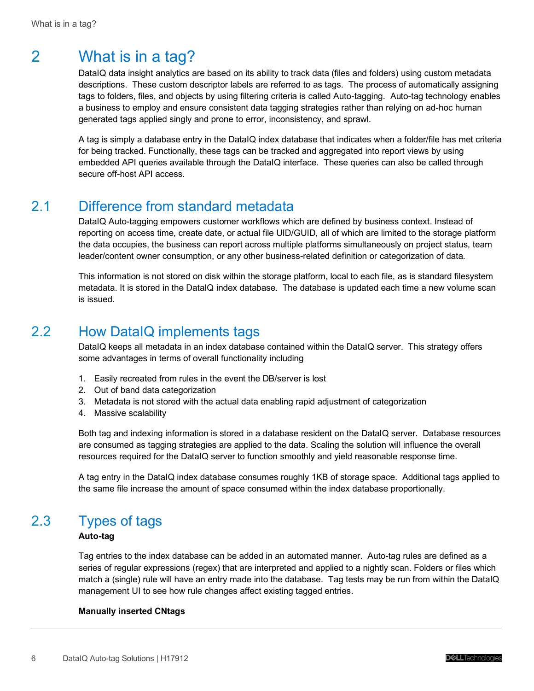# <span id="page-5-0"></span>2 What is in a tag?

DataIQ data insight analytics are based on its ability to track data (files and folders) using custom metadata descriptions. These custom descriptor labels are referred to as tags. The process of automatically assigning tags to folders, files, and objects by using filtering criteria is called Auto-tagging. Auto-tag technology enables a business to employ and ensure consistent data tagging strategies rather than relying on ad-hoc human generated tags applied singly and prone to error, inconsistency, and sprawl.

A tag is simply a database entry in the DataIQ index database that indicates when a folder/file has met criteria for being tracked. Functionally, these tags can be tracked and aggregated into report views by using embedded API queries available through the DataIQ interface. These queries can also be called through secure off-host API access.

### <span id="page-5-1"></span>2.1 Difference from standard metadata

DataIQ Auto-tagging empowers customer workflows which are defined by business context. Instead of reporting on access time, create date, or actual file UID/GUID, all of which are limited to the storage platform the data occupies, the business can report across multiple platforms simultaneously on project status, team leader/content owner consumption, or any other business-related definition or categorization of data.

This information is not stored on disk within the storage platform, local to each file, as is standard filesystem metadata. It is stored in the DataIQ index database. The database is updated each time a new volume scan is issued.

### <span id="page-5-2"></span>2.2 How DataIQ implements tags

DataIQ keeps all metadata in an index database contained within the DataIQ server. This strategy offers some advantages in terms of overall functionality including

- 1. Easily recreated from rules in the event the DB/server is lost
- 2. Out of band data categorization
- 3. Metadata is not stored with the actual data enabling rapid adjustment of categorization
- 4. Massive scalability

Both tag and indexing information is stored in a database resident on the DataIQ server. Database resources are consumed as tagging strategies are applied to the data. Scaling the solution will influence the overall resources required for the DataIQ server to function smoothly and yield reasonable response time.

A tag entry in the DataIQ index database consumes roughly 1KB of storage space. Additional tags applied to the same file increase the amount of space consumed within the index database proportionally.

# <span id="page-5-3"></span>2.3 Types of tags

#### **Auto-tag**

Tag entries to the index database can be added in an automated manner. Auto-tag rules are defined as a series of regular expressions (regex) that are interpreted and applied to a nightly scan. Folders or files which match a (single) rule will have an entry made into the database. Tag tests may be run from within the DataIQ management UI to see how rule changes affect existing tagged entries.

#### **Manually inserted CNtags**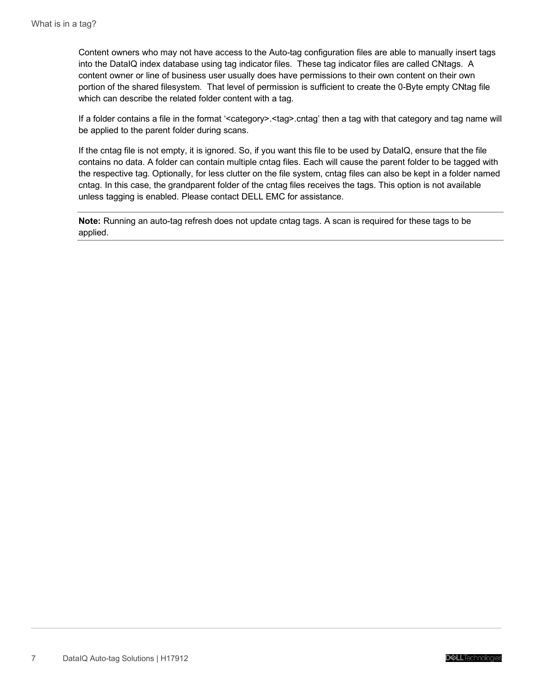Content owners who may not have access to the Auto-tag configuration files are able to manually insert tags into the DataIQ index database using tag indicator files. These tag indicator files are called CNtags. A content owner or line of business user usually does have permissions to their own content on their own portion of the shared filesystem. That level of permission is sufficient to create the 0-Byte empty CNtag file which can describe the related folder content with a tag.

If a folder contains a file in the format '<category>.<tag>.cntag' then a tag with that category and tag name will be applied to the parent folder during scans.

If the cntag file is not empty, it is ignored. So, if you want this file to be used by DataIQ, ensure that the file contains no data. A folder can contain multiple cntag files. Each will cause the parent folder to be tagged with the respective tag. Optionally, for less clutter on the file system, cntag files can also be kept in a folder named cntag. In this case, the grandparent folder of the cntag files receives the tags. This option is not available unless tagging is enabled. Please contact DELL EMC for assistance.

**Note:** Running an auto-tag refresh does not update cntag tags. A scan is required for these tags to be applied.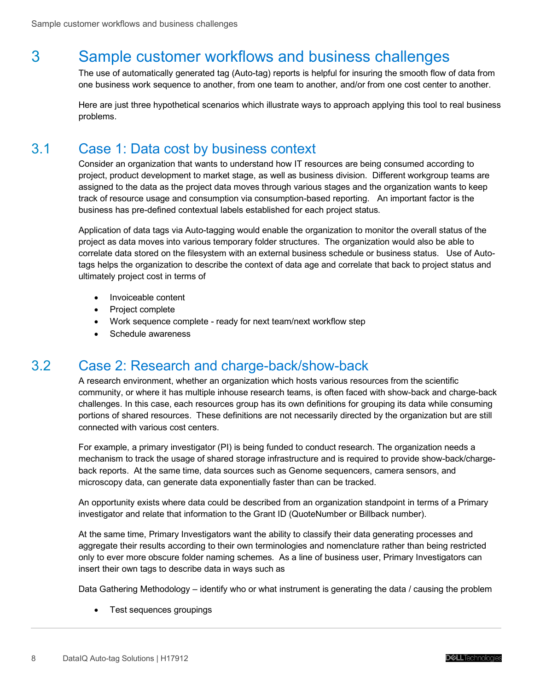# <span id="page-7-0"></span>3 Sample customer workflows and business challenges

The use of automatically generated tag (Auto-tag) reports is helpful for insuring the smooth flow of data from one business work sequence to another, from one team to another, and/or from one cost center to another.

Here are just three hypothetical scenarios which illustrate ways to approach applying this tool to real business problems.

### <span id="page-7-1"></span>3.1 Case 1: Data cost by business context

Consider an organization that wants to understand how IT resources are being consumed according to project, product development to market stage, as well as business division. Different workgroup teams are assigned to the data as the project data moves through various stages and the organization wants to keep track of resource usage and consumption via consumption-based reporting. An important factor is the business has pre-defined contextual labels established for each project status.

Application of data tags via Auto-tagging would enable the organization to monitor the overall status of the project as data moves into various temporary folder structures. The organization would also be able to correlate data stored on the filesystem with an external business schedule or business status. Use of Autotags helps the organization to describe the context of data age and correlate that back to project status and ultimately project cost in terms of

- Invoiceable content
- Project complete
- Work sequence complete ready for next team/next workflow step
- Schedule awareness

#### <span id="page-7-2"></span>3.2 Case 2: Research and charge-back/show-back

A research environment, whether an organization which hosts various resources from the scientific community, or where it has multiple inhouse research teams, is often faced with show-back and charge-back challenges. In this case, each resources group has its own definitions for grouping its data while consuming portions of shared resources. These definitions are not necessarily directed by the organization but are still connected with various cost centers.

For example, a primary investigator (PI) is being funded to conduct research. The organization needs a mechanism to track the usage of shared storage infrastructure and is required to provide show-back/chargeback reports. At the same time, data sources such as Genome sequencers, camera sensors, and microscopy data, can generate data exponentially faster than can be tracked.

An opportunity exists where data could be described from an organization standpoint in terms of a Primary investigator and relate that information to the Grant ID (QuoteNumber or Billback number).

At the same time, Primary Investigators want the ability to classify their data generating processes and aggregate their results according to their own terminologies and nomenclature rather than being restricted only to ever more obscure folder naming schemes. As a line of business user, Primary Investigators can insert their own tags to describe data in ways such as

Data Gathering Methodology – identify who or what instrument is generating the data / causing the problem

• Test sequences groupings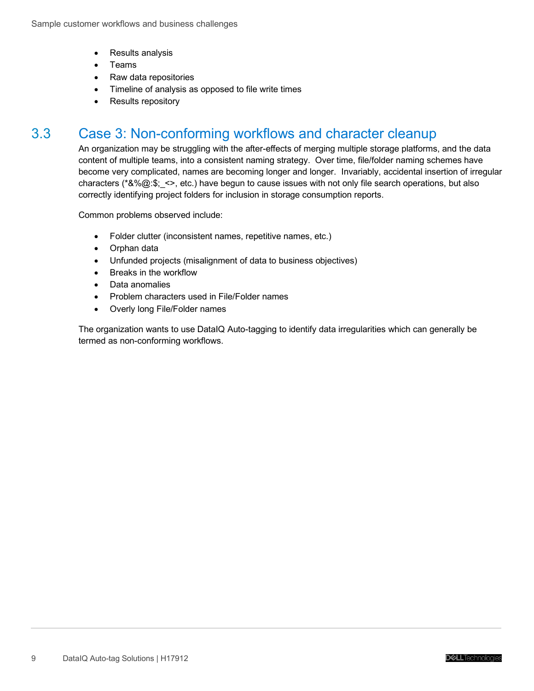- Results analysis
- Teams
- Raw data repositories
- Timeline of analysis as opposed to file write times
- Results repository

### <span id="page-8-0"></span>3.3 Case 3: Non-conforming workflows and character cleanup

An organization may be struggling with the after-effects of merging multiple storage platforms, and the data content of multiple teams, into a consistent naming strategy. Over time, file/folder naming schemes have become very complicated, names are becoming longer and longer. Invariably, accidental insertion of irregular characters (\* $&\%\textcircled{a};\$ ; <>, etc.) have begun to cause issues with not only file search operations, but also correctly identifying project folders for inclusion in storage consumption reports.

Common problems observed include:

- Folder clutter (inconsistent names, repetitive names, etc.)
- Orphan data
- Unfunded projects (misalignment of data to business objectives)
- Breaks in the workflow
- Data anomalies
- Problem characters used in File/Folder names
- Overly long File/Folder names

The organization wants to use DataIQ Auto-tagging to identify data irregularities which can generally be termed as non-conforming workflows.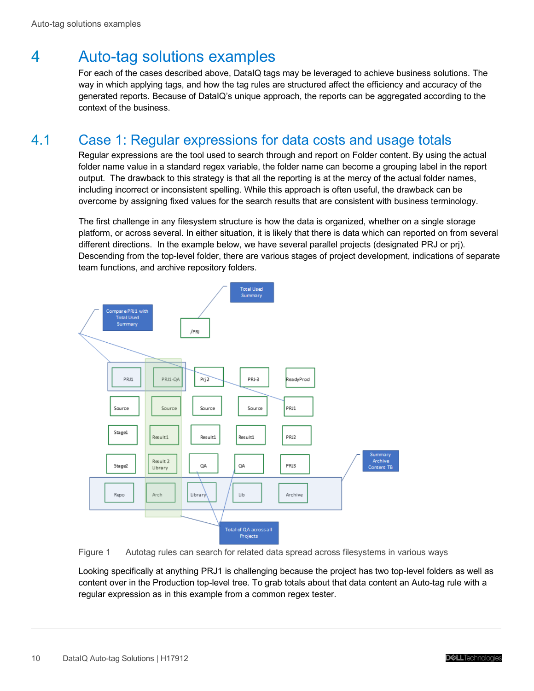# <span id="page-9-0"></span>4 Auto-tag solutions examples

For each of the cases described above, DataIQ tags may be leveraged to achieve business solutions. The way in which applying tags, and how the tag rules are structured affect the efficiency and accuracy of the generated reports. Because of DataIQ's unique approach, the reports can be aggregated according to the context of the business.

# <span id="page-9-1"></span>4.1 Case 1: Regular expressions for data costs and usage totals

Regular expressions are the tool used to search through and report on Folder content. By using the actual folder name value in a standard regex variable, the folder name can become a grouping label in the report output. The drawback to this strategy is that all the reporting is at the mercy of the actual folder names, including incorrect or inconsistent spelling. While this approach is often useful, the drawback can be overcome by assigning fixed values for the search results that are consistent with business terminology.

The first challenge in any filesystem structure is how the data is organized, whether on a single storage platform, or across several. In either situation, it is likely that there is data which can reported on from several different directions. In the example below, we have several parallel projects (designated PRJ or prj). Descending from the top-level folder, there are various stages of project development, indications of separate team functions, and archive repository folders.



Figure 1 Autotag rules can search for related data spread across filesystems in various ways

Looking specifically at anything PRJ1 is challenging because the project has two top-level folders as well as content over in the Production top-level tree. To grab totals about that data content an Auto-tag rule with a regular expression as in this example from a common regex tester.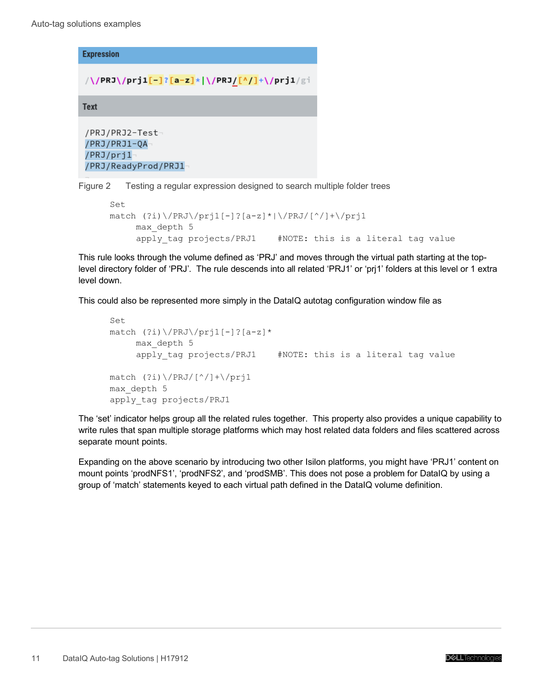**Expression** 

```
/\/PRJ\/prj1<mark>[-]?[a-z]</mark>*|\/PRJ<u>/[^/]</u>+\/prj1/gi
```
**Text** 

```
/PRJ/PRJ2-Test¬
/PRJ/PRJ1-QA
/PRJ/prj1
/PRJ/ReadyProd/PRJ1
```
Figure 2 Testing a regular expression designed to search multiple folder trees

```
Set
match (?i)\ \P(PRJ\ /prj1[-]?[a-z]*|\/PRJ/[^/]+\/prj1
      max_depth 5
     apply tag projects/PRJ1 #NOTE: this is a literal tag value
```
This rule looks through the volume defined as 'PRJ' and moves through the virtual path starting at the toplevel directory folder of 'PRJ'. The rule descends into all related 'PRJ1' or 'prj1' folders at this level or 1 extra level down.

This could also be represented more simply in the DataIQ autotag configuration window file as

```
Set
match (?i)\ \P(PRJ)\ /prj1[-]?[a-z]*
      max_depth 5
     apply tag projects/PRJ1 #NOTE: this is a literal tag value
match (?i)\ \/(PRJ/[^*/]+\\/prj1max_depth 5
apply_tag projects/PRJ1
```
The 'set' indicator helps group all the related rules together. This property also provides a unique capability to write rules that span multiple storage platforms which may host related data folders and files scattered across separate mount points.

Expanding on the above scenario by introducing two other Isilon platforms, you might have 'PRJ1' content on mount points 'prodNFS1', 'prodNFS2', and 'prodSMB'. This does not pose a problem for DataIQ by using a group of 'match' statements keyed to each virtual path defined in the DataIQ volume definition.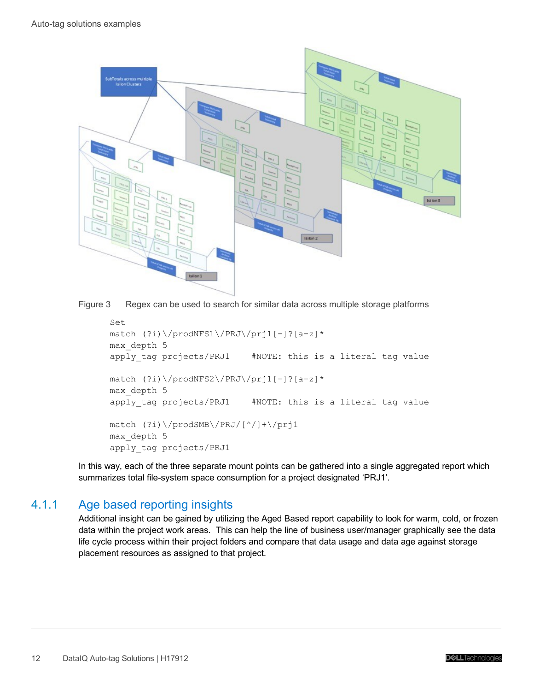

Figure 3 Regex can be used to search for similar data across multiple storage platforms

```
Set
match (?i)\/prodNFS1\/PRJ\/prj1[-]?[a-z]*
max_depth 5
apply tag projects/PRJ1 #NOTE: this is a literal tag value
match (?i)\/prodNFS2\/PRJ\/prj1[-]?[a-z]*
max_depth 5
apply tag projects/PRJ1 #NOTE: this is a literal tag value
match (?i)\/prodSMB\/PRJ/[^/]+\/prj1
max_depth 5
apply_tag projects/PRJ1
```
In this way, each of the three separate mount points can be gathered into a single aggregated report which summarizes total file-system space consumption for a project designated 'PRJ1'.

#### <span id="page-11-0"></span>4.1.1 Age based reporting insights

Additional insight can be gained by utilizing the Aged Based report capability to look for warm, cold, or frozen data within the project work areas. This can help the line of business user/manager graphically see the data life cycle process within their project folders and compare that data usage and data age against storage placement resources as assigned to that project.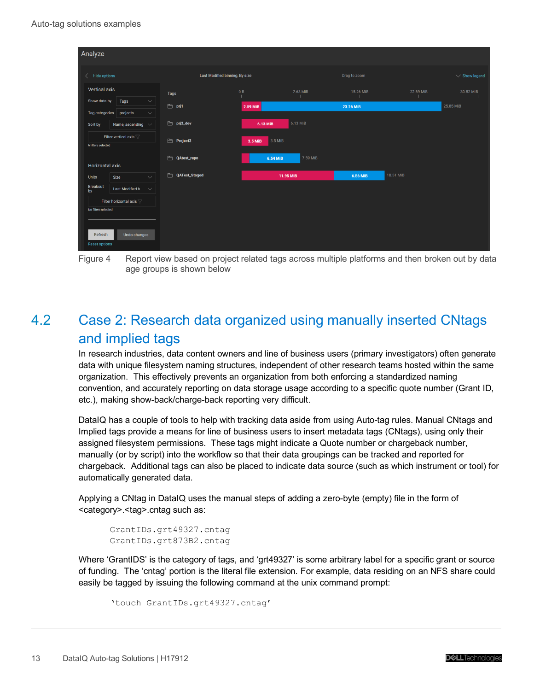| Analyze                                                                                       |                                |                        |                       |                        |
|-----------------------------------------------------------------------------------------------|--------------------------------|------------------------|-----------------------|------------------------|
| $\langle$ Hide options                                                                        | Last Modified binning, By size |                        | Drag to zoom          | $\vee$ Show legend     |
| <b>Vertical axis</b>                                                                          | Tags                           | 7.63 MiB<br>0B         | 15.26 MiB             | 22.89 MiB<br>30.52 MiB |
| Show data by<br>Tags<br>$\smallsetminus$<br><b>Tag categories</b><br>projects<br>$\checkmark$ | $\Box$ prj1                    | $2.59$ MiB             | 23.26 MiB             | 25.85 MiB              |
| Name, ascending $\sim$<br>Sort by                                                             | $\rightharpoonup$ prj3_dev     | $6.13$ MiB<br>6.13 MiB |                       |                        |
| Filter vertical axis<br>6 filters selected                                                    | 白<br>Project3                  | $3.5$ MiB<br>3.5 MiB   |                       |                        |
| <b>Horizontal axis</b>                                                                        | <b>COAtest_repo</b>            | 7.59 MiB<br>6.54 MiB   |                       |                        |
| $\checkmark$<br>Size<br><b>Units</b>                                                          | 白<br>QATest_Staged             | 11.95 MiB              | 18.51 MiB<br>6.56 MiB |                        |
| <b>Breakout</b><br>Last Modified b $\sqrt{}$<br>by                                            |                                |                        |                       |                        |
| Filter horizontal axis $\sqrt{ }$                                                             |                                |                        |                       |                        |
| No filters selected                                                                           |                                |                        |                       |                        |
| Undo changes<br>Refresh<br><b>Reset options</b>                                               |                                |                        |                       |                        |

Figure 4 Report view based on project related tags across multiple platforms and then broken out by data age groups is shown below

# <span id="page-12-0"></span>4.2 Case 2: Research data organized using manually inserted CNtags and implied tags

In research industries, data content owners and line of business users (primary investigators) often generate data with unique filesystem naming structures, independent of other research teams hosted within the same organization. This effectively prevents an organization from both enforcing a standardized naming convention, and accurately reporting on data storage usage according to a specific quote number (Grant ID, etc.), making show-back/charge-back reporting very difficult.

DataIQ has a couple of tools to help with tracking data aside from using Auto-tag rules. Manual CNtags and Implied tags provide a means for line of business users to insert metadata tags (CNtags), using only their assigned filesystem permissions. These tags might indicate a Quote number or chargeback number, manually (or by script) into the workflow so that their data groupings can be tracked and reported for chargeback. Additional tags can also be placed to indicate data source (such as which instrument or tool) for automatically generated data.

Applying a CNtag in DataIQ uses the manual steps of adding a zero-byte (empty) file in the form of <category>.<tag>.cntag such as:

```
GrantIDs.grt49327.cntag
GrantIDs.grt873B2.cntag
```
Where 'GrantIDS' is the category of tags, and 'grt49327' is some arbitrary label for a specific grant or source of funding. The 'cntag' portion is the literal file extension. For example, data residing on an NFS share could easily be tagged by issuing the following command at the unix command prompt:

```
'touch GrantIDs.grt49327.cntag'
```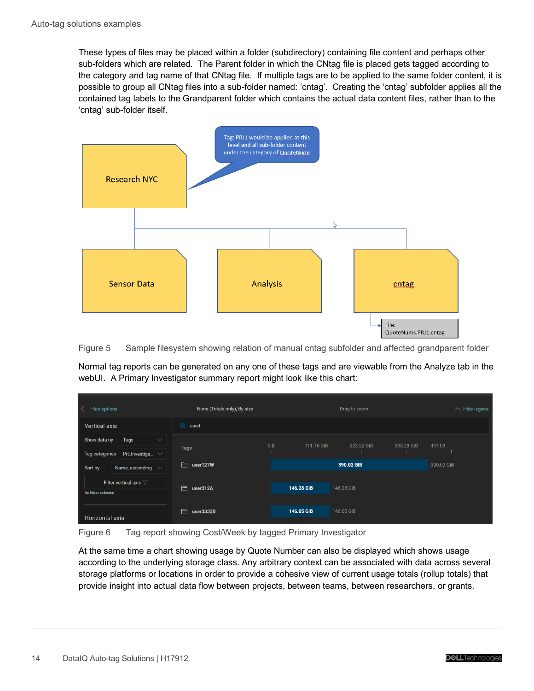These types of files may be placed within a folder (subdirectory) containing file content and perhaps other sub-folders which are related. The Parent folder in which the CNtag file is placed gets tagged according to the category and tag name of that CNtag file. If multiple tags are to be applied to the same folder content, it is possible to group all CNtag files into a sub-folder named: 'cntag'. Creating the 'cntag' subfolder applies all the contained tag labels to the Grandparent folder which contains the actual data content files, rather than to the 'cntag' sub-folder itself.



Figure 5 Sample filesystem showing relation of manual cntag subfolder and affected grandparent folder

Normal tag reports can be generated on any one of these tags and are viewable from the Analyze tab in the webUI. A Primary Investigator summary report might look like this chart:

| Hide options<br>$\left\langle \right\rangle$                                   | None (Totals only), By size |    |            | Drag to zoom |            | $\wedge$ Hide legend |
|--------------------------------------------------------------------------------|-----------------------------|----|------------|--------------|------------|----------------------|
| <b>Vertical axis</b>                                                           | used                        |    |            |              |            |                      |
| Tags<br>Show data by<br>$\checkmark$<br>Tag categories<br>Pri_Investiga $\vee$ | <b>Tags</b>                 | 0B | 111.76 GiB | 223.52 GiB   | 335.28 GiB | 447.03               |
| Name, ascending $\vee$<br>Sort by                                              | user127W<br>白               |    |            | 390.02 GiB   |            | 390.02 GiB           |
| Filter vertical axis $\sqrt{ }$<br>No filters selected                         | 白<br>user312A               |    | 146.28 GiB | 146.28 GiB   |            |                      |
| <b>Horizontal axis</b>                                                         | 白<br>user3333B              |    | 146.05 GiB | 146.05 GiB   |            |                      |

Figure 6 Tag report showing Cost/Week by tagged Primary Investigator

At the same time a chart showing usage by Quote Number can also be displayed which shows usage according to the underlying storage class. Any arbitrary context can be associated with data across several storage platforms or locations in order to provide a cohesive view of current usage totals (rollup totals) that provide insight into actual data flow between projects, between teams, between researchers, or grants.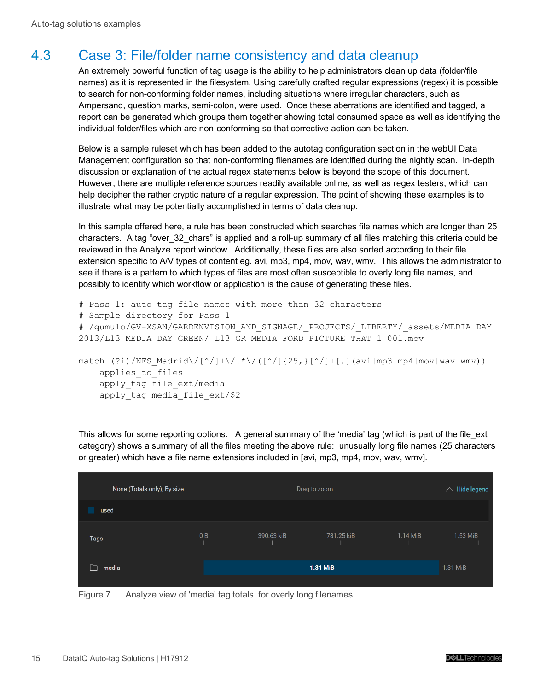### <span id="page-14-0"></span>4.3 Case 3: File/folder name consistency and data cleanup

An extremely powerful function of tag usage is the ability to help administrators clean up data (folder/file names) as it is represented in the filesystem. Using carefully crafted regular expressions (regex) it is possible to search for non-conforming folder names, including situations where irregular characters, such as Ampersand, question marks, semi-colon, were used. Once these aberrations are identified and tagged, a report can be generated which groups them together showing total consumed space as well as identifying the individual folder/files which are non-conforming so that corrective action can be taken.

Below is a sample ruleset which has been added to the autotag configuration section in the webUI Data Management configuration so that non-conforming filenames are identified during the nightly scan. In-depth discussion or explanation of the actual regex statements below is beyond the scope of this document. However, there are multiple reference sources readily available online, as well as regex testers, which can help decipher the rather cryptic nature of a regular expression. The point of showing these examples is to illustrate what may be potentially accomplished in terms of data cleanup.

In this sample offered here, a rule has been constructed which searches file names which are longer than 25 characters. A tag "over\_32\_chars" is applied and a roll-up summary of all files matching this criteria could be reviewed in the Analyze report window. Additionally, these files are also sorted according to their file extension specific to A/V types of content eg. avi, mp3, mp4, mov, wav, wmv. This allows the administrator to see if there is a pattern to which types of files are most often susceptible to overly long file names, and possibly to identify which workflow or application is the cause of generating these files.

```
# Pass 1: auto tag file names with more than 32 characters
# Sample directory for Pass 1
# /qumulo/GV-XSAN/GARDENVISION_AND_SIGNAGE/_PROJECTS/_LIBERTY/_assets/MEDIA DAY 
2013/L13 MEDIA DAY GREEN/ L13 GR MEDIA FORD PICTURE THAT 1 001.mov
match (?i)/NFS Madrid\/[^/]+\/.*\/([^/]{25,}[^/]+[.](avi|mp3|mp4|mov|wav|wmv))
    applies to files
```
apply tag file ext/media apply\_tag media\_file\_ext/\$2

This allows for some reporting options. A general summary of the 'media' tag (which is part of the file ext category) shows a summary of all the files meeting the above rule: unusually long file names (25 characters or greater) which have a file name extensions included in [avi, mp3, mp4, mov, wav, wmv].

| None (Totals only), By size |    |            | Drag to zoom |          | $\land$ Hide legend |
|-----------------------------|----|------------|--------------|----------|---------------------|
| used                        |    |            |              |          |                     |
| Tags                        | 0B | 390.63 kiB | 781.25 kiB   | 1.14 MiB | 1.53 MiB            |
| Բ<br>media                  |    |            | 1.31 MiB     |          | 1.31 MiB            |

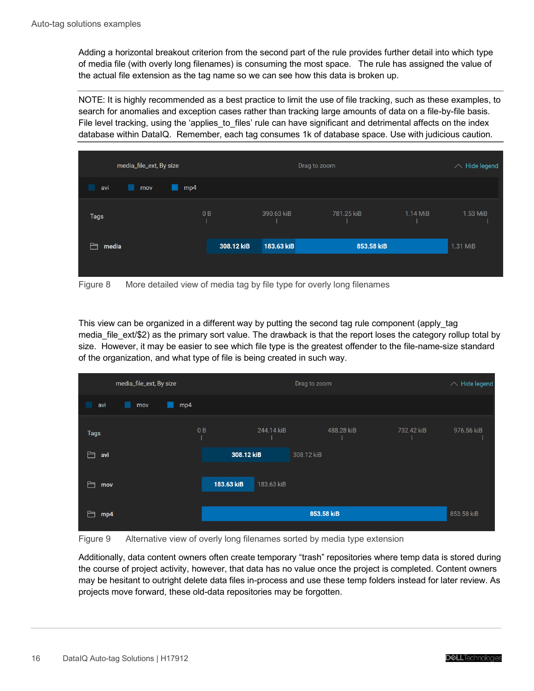Adding a horizontal breakout criterion from the second part of the rule provides further detail into which type of media file (with overly long filenames) is consuming the most space. The rule has assigned the value of the actual file extension as the tag name so we can see how this data is broken up.

NOTE: It is highly recommended as a best practice to limit the use of file tracking, such as these examples, to search for anomalies and exception cases rather than tracking large amounts of data on a file-by-file basis. File level tracking, using the 'applies to files' rule can have significant and detrimental affects on the index database within DataIQ. Remember, each tag consumes 1k of database space. Use with judicious caution.

| media_file_ext, By size | Drag to zoom |            |            | $\land$ Hide legend |          |
|-------------------------|--------------|------------|------------|---------------------|----------|
| avi<br>mp4<br>mov<br>L. |              |            |            |                     |          |
| <b>Tags</b>             | 0B           | 390.63 kiB | 781.25 kiB | 1.14 MiB            | 1.53 MiB |
| media                   | 308.12 kiB   | 183.63 kiB | 853.58 kiB |                     | 1.31 MiB |
|                         |              |            |            |                     |          |

Figure 8 More detailed view of media tag by file type for overly long filenames

This view can be organized in a different way by putting the second tag rule component (apply\_tag media\_file\_ext/\$2) as the primary sort value. The drawback is that the report loses the category rollup total by size. However, it may be easier to see which file type is the greatest offender to the file-name-size standard of the organization, and what type of file is being created in such way.

| media_file_ext, By size |            |            | Drag to zoom |            | $\land$ Hide legend |
|-------------------------|------------|------------|--------------|------------|---------------------|
| mp4<br>avi<br>mov<br>ш  |            |            |              |            |                     |
| <b>Tags</b>             | 0B         | 244.14 kiB | 488.28 kiB   | 732.42 kiB | 976.56 kiB          |
| 户<br>avi                | 308.12 kiB |            | 308.12 kiB   |            |                     |
| Ħ<br>mov                | 183.63 kiB | 183.63 kiB |              |            |                     |
| Ħ<br>mp4                |            |            | 853.58 kiB   |            | 853.58 kiB          |

Figure 9 Alternative view of overly long filenames sorted by media type extension

Additionally, data content owners often create temporary "trash" repositories where temp data is stored during the course of project activity, however, that data has no value once the project is completed. Content owners may be hesitant to outright delete data files in-process and use these temp folders instead for later review. As projects move forward, these old-data repositories may be forgotten.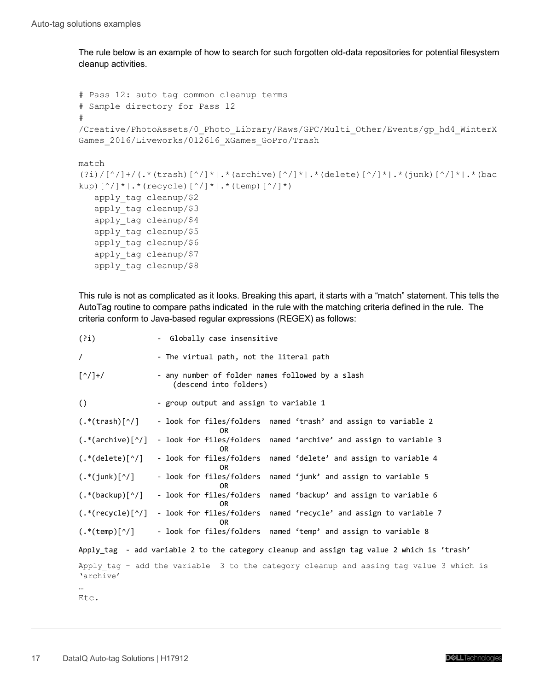The rule below is an example of how to search for such forgotten old-data repositories for potential filesystem cleanup activities.

```
# Pass 12: auto tag common cleanup terms
# Sample directory for Pass 12
# 
/Creative/PhotoAssets/0_Photo_Library/Raws/GPC/Multi_Other/Events/gp_hd4_WinterX
Games_2016/Liveworks/012616_XGames_GoPro/Trash
match 
(2i)/[^/]+/(.*(trash)[^/]+.*(archive)[^/]+.*(delete)[^/]+.*(junk)[^/]+.*(bac
kup)[^{\wedge}/]*|.*(recycle)[^{\wedge}/]*|.*(temp)[^{\wedge}/]*)
    apply_tag cleanup/$2
    apply_tag cleanup/$3
    apply_tag cleanup/$4
    apply_tag cleanup/$5
    apply_tag cleanup/$6
    apply_tag cleanup/$7
    apply_tag cleanup/$8
```
This rule is not as complicated as it looks. Breaking this apart, it starts with a "match" statement. This tells the AutoTag routine to compare paths indicated in the rule with the matching criteria defined in the rule. The criteria conform to Java-based regular expressions (REGEX) as follows:

| (?i)                                                                       | - Globally case insensitive                                                                |  |  |  |  |  |  |
|----------------------------------------------------------------------------|--------------------------------------------------------------------------------------------|--|--|--|--|--|--|
| $\prime$                                                                   | - The virtual path, not the literal path                                                   |  |  |  |  |  |  |
| $\lbrack \! \binom{\wedge}{\, \cdot \,} \! + \! \! \binom{1}{\, \cdot \,}$ | - any number of folder names followed by a slash<br>(descend into folders)                 |  |  |  |  |  |  |
| $\left( \right)$                                                           | - group output and assign to variable 1                                                    |  |  |  |  |  |  |
| $(\cdot^*(\text{trash})[\uparrow/\,])$                                     | - look for files/folders named 'trash' and assign to variable 2<br>0R                      |  |  |  |  |  |  |
| $(.*(\text{architecture})[\gamma])$                                        | - look for files/folders named 'archive' and assign to variable 3<br>0R                    |  |  |  |  |  |  |
| $(\cdot^*(\text{delete})[\uparrow /]$                                      | - look for files/folders named 'delete' and assign to variable 4<br>0R.                    |  |  |  |  |  |  |
| $(.*(junk)[^)]$                                                            | - look for files/folders named 'junk' and assign to variable 5<br>0R                       |  |  |  |  |  |  |
| $(\cdot^*(\text{backup})[\uparrow /])$                                     | - look for files/folders named 'backup' and assign to variable 6<br>0R                     |  |  |  |  |  |  |
| $(.*(recycle)[^)]$                                                         | - look for files/folders named 'recycle' and assign to variable 7<br>0R                    |  |  |  |  |  |  |
| $(.*(temp)[^{\wedge}/]$                                                    | - look for files/folders named 'temp' and assign to variable 8                             |  |  |  |  |  |  |
|                                                                            | Apply_tag - add variable 2 to the category cleanup and assign tag value 2 which is 'trash' |  |  |  |  |  |  |
| 'archive'                                                                  | Apply tag - add the variable 3 to the category cleanup and assing tag value 3 which is     |  |  |  |  |  |  |
|                                                                            |                                                                                            |  |  |  |  |  |  |
| Etc.                                                                       |                                                                                            |  |  |  |  |  |  |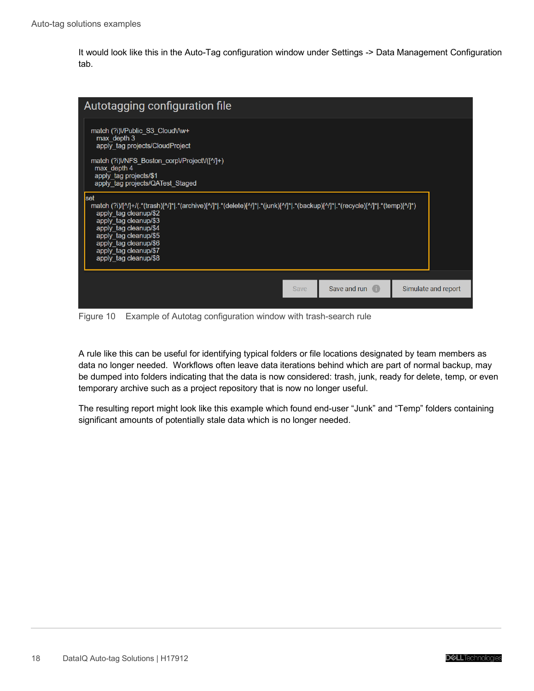It would look like this in the Auto-Tag configuration window under Settings -> Data Management Configuration tab.



Figure 10 Example of Autotag configuration window with trash-search rule

A rule like this can be useful for identifying typical folders or file locations designated by team members as data no longer needed. Workflows often leave data iterations behind which are part of normal backup, may be dumped into folders indicating that the data is now considered: trash, junk, ready for delete, temp, or even temporary archive such as a project repository that is now no longer useful.

The resulting report might look like this example which found end-user "Junk" and "Temp" folders containing significant amounts of potentially stale data which is no longer needed.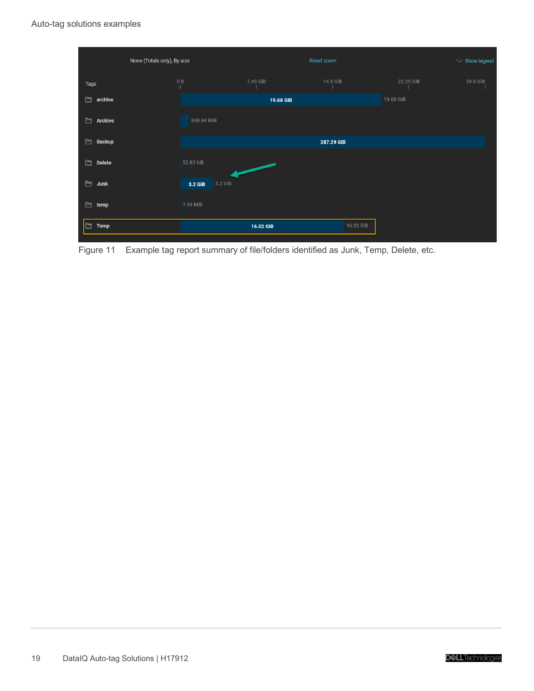|                     | None (Totals only), By size |           | Reset zoom |           | $\vee$ Show legend |
|---------------------|-----------------------------|-----------|------------|-----------|--------------------|
| <b>Tags</b>         | 0B                          | 7.45 GiB  | 14.9 GiB   | 22.35 GiB | 29.8 GiB           |
| 白<br>archive        |                             | 19.68 GiB |            | 19.68 GiB |                    |
| 白<br><b>Archive</b> | 848.84 MiB                  |           |            |           |                    |
| 白<br><b>Backup</b>  |                             |           | 287.29 GiB |           |                    |
| 白<br><b>Delete</b>  | 52.82 kiB                   |           |            |           |                    |
| 白<br><b>Junk</b>    | 3.2 GiB                     | 3.2 GiB   |            |           |                    |
| 白<br>temp           | 7.44 MiB                    |           |            |           |                    |
| 白<br><b>Temp</b>    |                             | 16.02 GiB | 16.02 GiB  |           |                    |

Figure 11 Example tag report summary of file/folders identified as Junk, Temp, Delete, etc.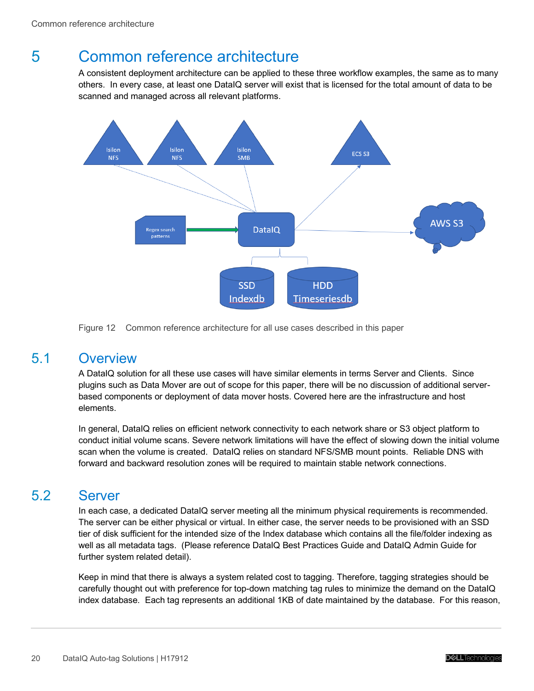# <span id="page-19-0"></span>5 Common reference architecture

A consistent deployment architecture can be applied to these three workflow examples, the same as to many others. In every case, at least one DataIQ server will exist that is licensed for the total amount of data to be scanned and managed across all relevant platforms.



Figure 12 Common reference architecture for all use cases described in this paper

#### <span id="page-19-1"></span>5.1 Overview

A DataIQ solution for all these use cases will have similar elements in terms Server and Clients. Since plugins such as Data Mover are out of scope for this paper, there will be no discussion of additional serverbased components or deployment of data mover hosts. Covered here are the infrastructure and host elements.

In general, DataIQ relies on efficient network connectivity to each network share or S3 object platform to conduct initial volume scans. Severe network limitations will have the effect of slowing down the initial volume scan when the volume is created. DataIQ relies on standard NFS/SMB mount points. Reliable DNS with forward and backward resolution zones will be required to maintain stable network connections.

#### <span id="page-19-2"></span>5.2 Server

In each case, a dedicated DataIQ server meeting all the minimum physical requirements is recommended. The server can be either physical or virtual. In either case, the server needs to be provisioned with an SSD tier of disk sufficient for the intended size of the Index database which contains all the file/folder indexing as well as all metadata tags. (Please reference DataIQ Best Practices Guide and DataIQ Admin Guide for further system related detail).

Keep in mind that there is always a system related cost to tagging. Therefore, tagging strategies should be carefully thought out with preference for top-down matching tag rules to minimize the demand on the DataIQ index database. Each tag represents an additional 1KB of date maintained by the database. For this reason,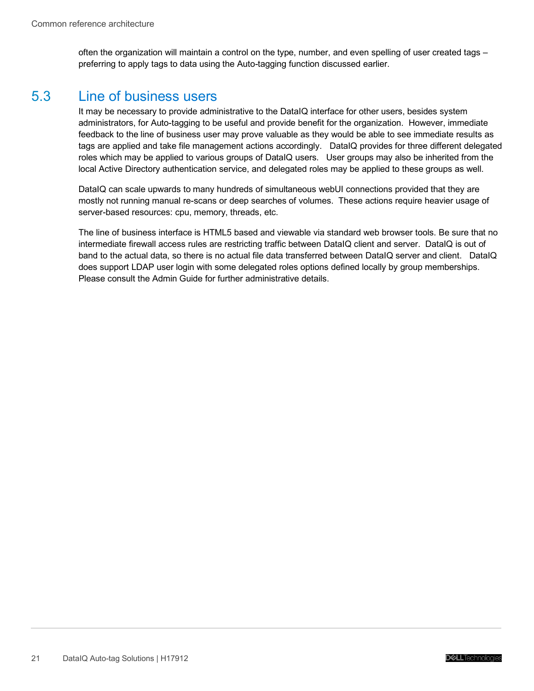often the organization will maintain a control on the type, number, and even spelling of user created tags – preferring to apply tags to data using the Auto-tagging function discussed earlier.

### <span id="page-20-0"></span>5.3 Line of business users

It may be necessary to provide administrative to the DataIQ interface for other users, besides system administrators, for Auto-tagging to be useful and provide benefit for the organization. However, immediate feedback to the line of business user may prove valuable as they would be able to see immediate results as tags are applied and take file management actions accordingly. DataIQ provides for three different delegated roles which may be applied to various groups of DataIQ users. User groups may also be inherited from the local Active Directory authentication service, and delegated roles may be applied to these groups as well.

DataIQ can scale upwards to many hundreds of simultaneous webUI connections provided that they are mostly not running manual re-scans or deep searches of volumes. These actions require heavier usage of server-based resources: cpu, memory, threads, etc.

The line of business interface is HTML5 based and viewable via standard web browser tools. Be sure that no intermediate firewall access rules are restricting traffic between DataIQ client and server. DataIQ is out of band to the actual data, so there is no actual file data transferred between DataIQ server and client. DataIQ does support LDAP user login with some delegated roles options defined locally by group memberships. Please consult the Admin Guide for further administrative details.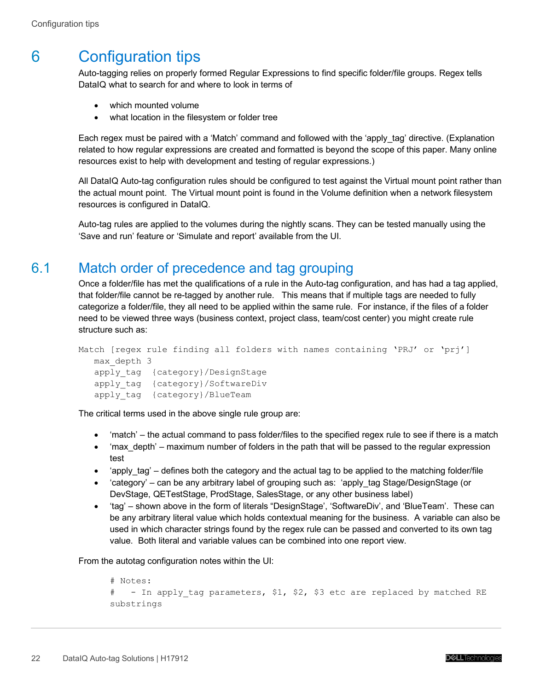# <span id="page-21-0"></span>6 Configuration tips

Auto-tagging relies on properly formed Regular Expressions to find specific folder/file groups. Regex tells DataIQ what to search for and where to look in terms of

- which mounted volume
- what location in the filesystem or folder tree

Each regex must be paired with a 'Match' command and followed with the 'apply\_tag' directive. (Explanation related to how regular expressions are created and formatted is beyond the scope of this paper. Many online resources exist to help with development and testing of regular expressions.)

All DataIQ Auto-tag configuration rules should be configured to test against the Virtual mount point rather than the actual mount point. The Virtual mount point is found in the Volume definition when a network filesystem resources is configured in DataIQ.

Auto-tag rules are applied to the volumes during the nightly scans. They can be tested manually using the 'Save and run' feature or 'Simulate and report' available from the UI.

### <span id="page-21-1"></span>6.1 Match order of precedence and tag grouping

Once a folder/file has met the qualifications of a rule in the Auto-tag configuration, and has had a tag applied, that folder/file cannot be re-tagged by another rule. This means that if multiple tags are needed to fully categorize a folder/file, they all need to be applied within the same rule. For instance, if the files of a folder need to be viewed three ways (business context, project class, team/cost center) you might create rule structure such as:

```
Match [regex rule finding all folders with names containing 'PRJ' or 'prj']
  max_depth 3
  apply tag {category}/DesignStage
   apply tag {category}/SoftwareDiv
   apply_tag {category}/BlueTeam
```
The critical terms used in the above single rule group are:

- 'match' the actual command to pass folder/files to the specified regex rule to see if there is a match
- 'max depth' maximum number of folders in the path that will be passed to the regular expression test
- 'apply\_tag' defines both the category and the actual tag to be applied to the matching folder/file
- 'category' can be any arbitrary label of grouping such as: 'apply tag Stage/DesignStage (or DevStage, QETestStage, ProdStage, SalesStage, or any other business label)
- "tag' shown above in the form of literals "DesignStage', 'SoftwareDiv', and 'BlueTeam'. These can be any arbitrary literal value which holds contextual meaning for the business. A variable can also be used in which character strings found by the regex rule can be passed and converted to its own tag value. Both literal and variable values can be combined into one report view.

From the autotag configuration notes within the UI:

```
# Notes: 
# - In apply tag parameters, $1, $2, $3 etc are replaced by matched RE
substrings
```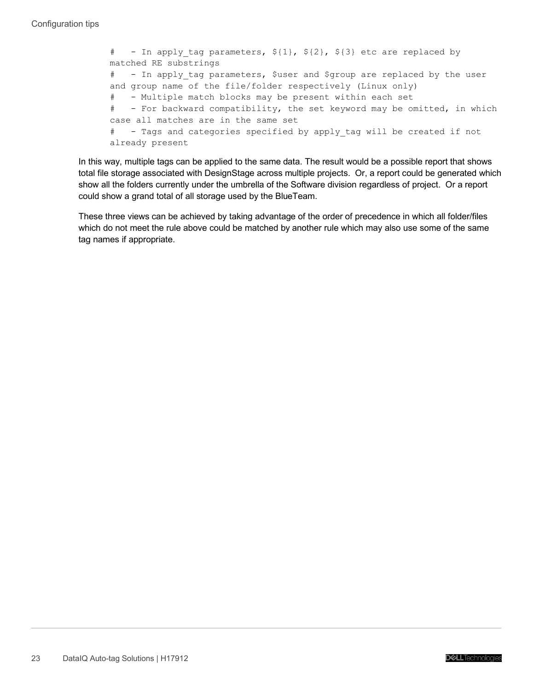```
# - In apply tag parameters, ${1}, ${2}, ${3} etc are replaced by
matched RE substrings
# - In apply tag parameters, $user and $group are replaced by the user
and group name of the file/folder respectively (Linux only)
# - Multiple match blocks may be present within each set
# - For backward compatibility, the set keyword may be omitted, in which
case all matches are in the same set
# - Tags and categories specified by apply_tag will be created if not 
already present
```
In this way, multiple tags can be applied to the same data. The result would be a possible report that shows total file storage associated with DesignStage across multiple projects. Or, a report could be generated which show all the folders currently under the umbrella of the Software division regardless of project. Or a report could show a grand total of all storage used by the BlueTeam.

These three views can be achieved by taking advantage of the order of precedence in which all folder/files which do not meet the rule above could be matched by another rule which may also use some of the same tag names if appropriate.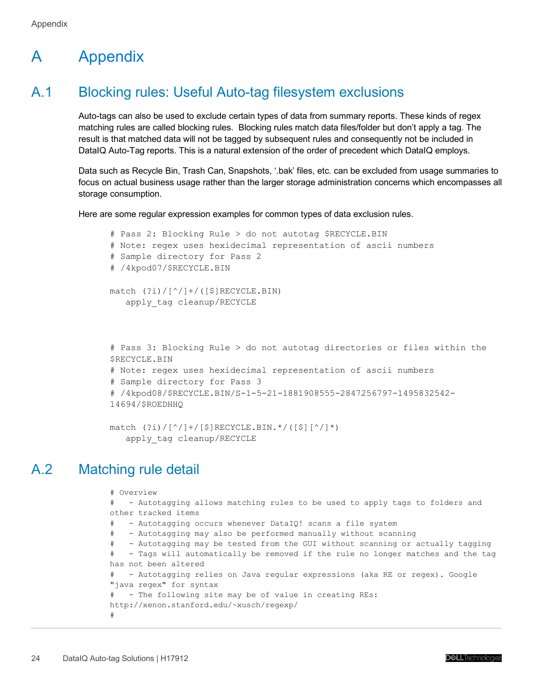# <span id="page-23-0"></span>A Appendix

## <span id="page-23-1"></span>A.1 Blocking rules: Useful Auto-tag filesystem exclusions

Auto-tags can also be used to exclude certain types of data from summary reports. These kinds of regex matching rules are called blocking rules. Blocking rules match data files/folder but don't apply a tag. The result is that matched data will not be tagged by subsequent rules and consequently not be included in DataIQ Auto-Tag reports. This is a natural extension of the order of precedent which DataIQ employs.

Data such as Recycle Bin, Trash Can, Snapshots, '.bak' files, etc. can be excluded from usage summaries to focus on actual business usage rather than the larger storage administration concerns which encompasses all storage consumption.

Here are some regular expression examples for common types of data exclusion rules.

```
# Pass 2: Blocking Rule > do not autotag $RECYCLE.BIN
# Note: regex uses hexidecimal representation of ascii numbers
# Sample directory for Pass 2
# /4kpod07/$RECYCLE.BIN
match (?i)/[^/]+/([^S]RECYCLE.BIN) apply_tag cleanup/RECYCLE
# Pass 3: Blocking Rule > do not autotag directories or files within the 
$RECYCLE.BIN
# Note: regex uses hexidecimal representation of ascii numbers
# Sample directory for Pass 3
# /4kpod08/$RECYCLE.BIN/S-1-5-21-1881908555-2847256797-1495832542-
14694/$ROEDHHQ
match (?i)/[^(]/]+/[$] RECYCLE.BIN.*/([$][^(]*)
```

```
apply_tag cleanup/RECYCLE
```
# <span id="page-23-2"></span>A.2 Matching rule detail

```
# Overview
# - Autotagging allows matching rules to be used to apply tags to folders and 
other tracked items
# - Autotagging occurs whenever DataIQ! scans a file system
# - Autotagging may also be performed manually without scanning
    - Autotagging may be tested from the GUI without scanning or actually tagging
# - Tags will automatically be removed if the rule no longer matches and the tag 
has not been altered
  - Autotagging relies on Java regular expressions (aka RE or regex). Google
"java regex" for syntax
# - The following site may be of value in creating REs: 
http://xenon.stanford.edu/~xusch/regexp/
#
```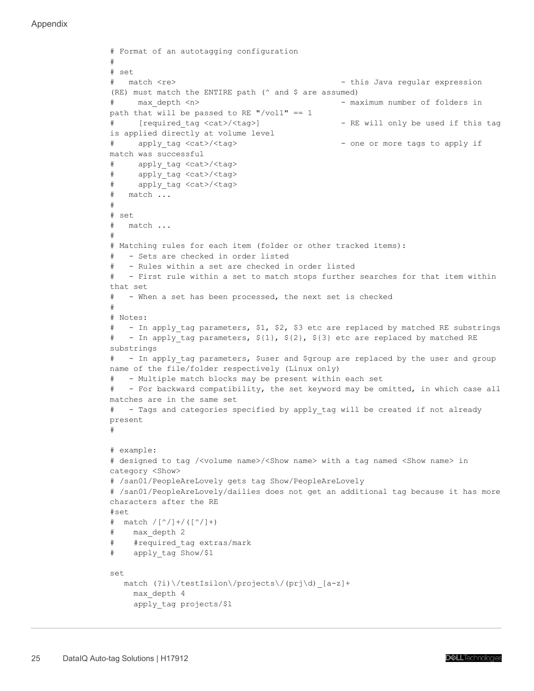Appendix

```
# Format of an autotagging configuration
#
# set
# match <re> - this Java regular expression
(RE) must match the ENTIRE path (^ and $ are assumed)
# max_depth <n> - maximum number of folders in 
path that will be passed to RE "/vol1" == 1
# [required_tag <cat>/<tag>] - RE will only be used if this tag 
is applied directly at volume level
# apply_tag <cat>/<tag> - one or more tags to apply if 
match was successful
# apply_tag <cat>/<tag>
# apply_tag <cat>/<tag>
# apply_tag <cat>/<tag>
# match ...
#
# set
# match ...
#
# Matching rules for each item (folder or other tracked items):
# - Sets are checked in order listed
# - Rules within a set are checked in order listed
# - First rule within a set to match stops further searches for that item within 
that set
# - When a set has been processed, the next set is checked
#
# Notes: 
# - In apply tag parameters, $1, $2, $3 etc are replaced by matched RE substrings
# - In apply tag parameters, ${1}, ${2}, ${3} etc are replaced by matched RE
substrings
# - In apply tag parameters, $user and $group are replaced by the user and group
name of the file/folder respectively (Linux only)
   - Multiple match blocks may be present within each set
# - For backward compatibility, the set keyword may be omitted, in which case all 
matches are in the same set
# - Tags and categories specified by apply_tag will be created if not already 
present
#
# example:
# designed to tag /<volume name>/<Show name> with a tag named <Show name> in 
category <Show>
# /san01/PeopleAreLovely gets tag Show/PeopleAreLovely
# /san01/PeopleAreLovely/dailies does not get an additional tag because it has more 
characters after the RE
#set
# match /[^/]+/([^/]+)
# max_depth 2
# #required_tag extras/mark
# apply_tag Show/$1
set
   match (?i)\/testIsilon\/projects\/(prj\d)_[a-z]+
     max_depth 4
     apply_tag projects/$1
```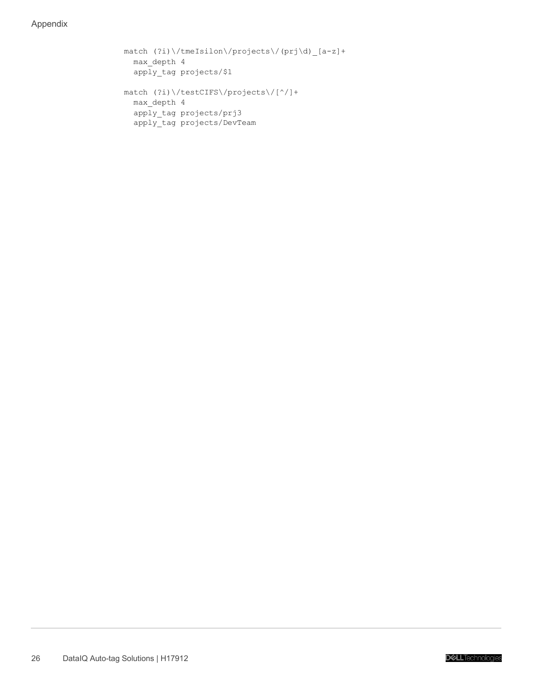Appendix

```
 match (?i)\/tmeIsilon\/projects\/(prj\d)_[a-z]+
  max_depth 4
   apply_tag projects/$1 
 match (?i)\/testCIFS\/projects\/[^/]+
  max_depth 4
   apply_tag projects/prj3
   apply_tag projects/DevTeam
```